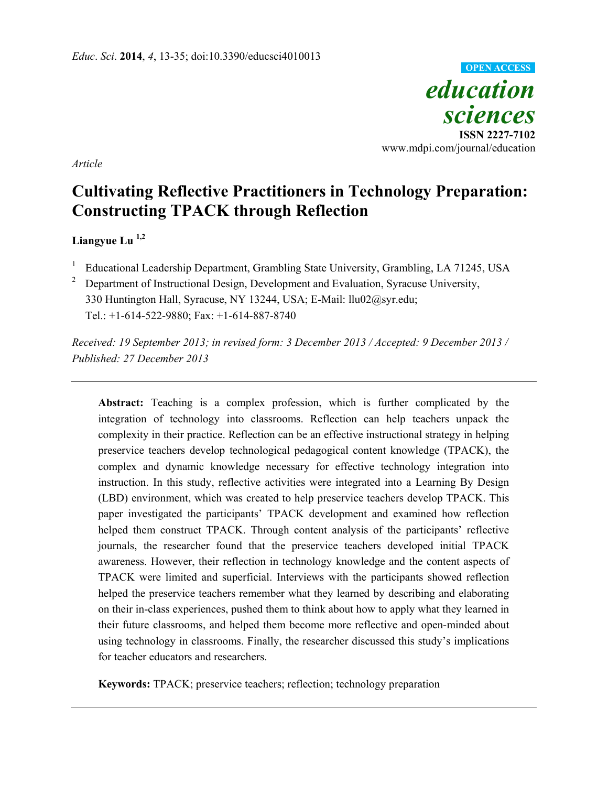

*Article* 

# **Cultivating Reflective Practitioners in Technology Preparation: Constructing TPACK through Reflection**

## **Liangyue Lu 1,2**

- 1 Educational Leadership Department, Grambling State University, Grambling, LA 71245, USA
- 2 Department of Instructional Design, Development and Evaluation, Syracuse University, 330 Huntington Hall, Syracuse, NY 13244, USA; E-Mail: llu02@syr.edu; Tel.: +1-614-522-9880; Fax: +1-614-887-8740

*Received: 19 September 2013; in revised form: 3 December 2013 / Accepted: 9 December 2013 / Published: 27 December 2013* 

**Abstract:** Teaching is a complex profession, which is further complicated by the integration of technology into classrooms. Reflection can help teachers unpack the complexity in their practice. Reflection can be an effective instructional strategy in helping preservice teachers develop technological pedagogical content knowledge (TPACK), the complex and dynamic knowledge necessary for effective technology integration into instruction. In this study, reflective activities were integrated into a Learning By Design (LBD) environment, which was created to help preservice teachers develop TPACK. This paper investigated the participants' TPACK development and examined how reflection helped them construct TPACK. Through content analysis of the participants' reflective journals, the researcher found that the preservice teachers developed initial TPACK awareness. However, their reflection in technology knowledge and the content aspects of TPACK were limited and superficial. Interviews with the participants showed reflection helped the preservice teachers remember what they learned by describing and elaborating on their in-class experiences, pushed them to think about how to apply what they learned in their future classrooms, and helped them become more reflective and open-minded about using technology in classrooms. Finally, the researcher discussed this study's implications for teacher educators and researchers.

**Keywords:** TPACK; preservice teachers; reflection; technology preparation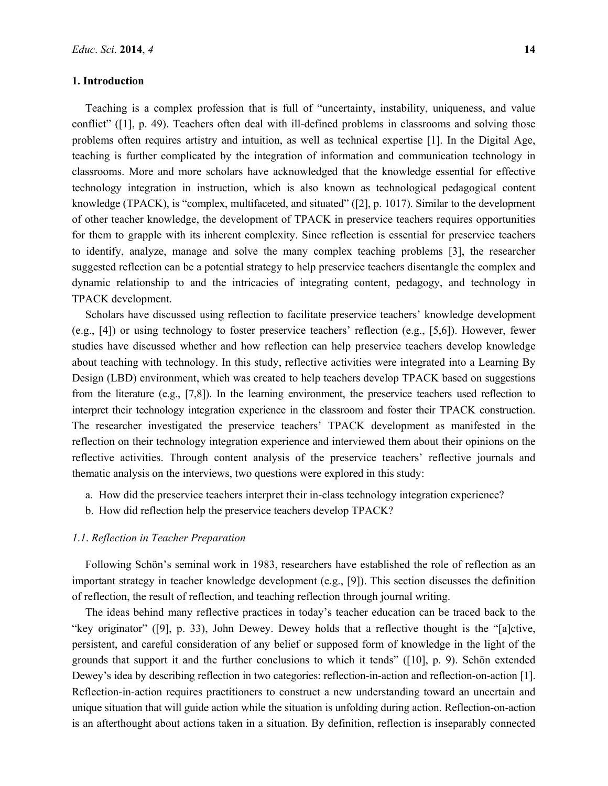#### **1. Introduction**

Teaching is a complex profession that is full of "uncertainty, instability, uniqueness, and value conflict" ([1], p. 49). Teachers often deal with ill-defined problems in classrooms and solving those problems often requires artistry and intuition, as well as technical expertise [1]. In the Digital Age, teaching is further complicated by the integration of information and communication technology in classrooms. More and more scholars have acknowledged that the knowledge essential for effective technology integration in instruction, which is also known as technological pedagogical content knowledge (TPACK), is "complex, multifaceted, and situated" ([2], p. 1017). Similar to the development of other teacher knowledge, the development of TPACK in preservice teachers requires opportunities for them to grapple with its inherent complexity. Since reflection is essential for preservice teachers to identify, analyze, manage and solve the many complex teaching problems [3], the researcher suggested reflection can be a potential strategy to help preservice teachers disentangle the complex and dynamic relationship to and the intricacies of integrating content, pedagogy, and technology in TPACK development.

Scholars have discussed using reflection to facilitate preservice teachers' knowledge development (e.g., [4]) or using technology to foster preservice teachers' reflection (e.g., [5,6]). However, fewer studies have discussed whether and how reflection can help preservice teachers develop knowledge about teaching with technology. In this study, reflective activities were integrated into a Learning By Design (LBD) environment, which was created to help teachers develop TPACK based on suggestions from the literature (e.g., [7,8]). In the learning environment, the preservice teachers used reflection to interpret their technology integration experience in the classroom and foster their TPACK construction. The researcher investigated the preservice teachers' TPACK development as manifested in the reflection on their technology integration experience and interviewed them about their opinions on the reflective activities. Through content analysis of the preservice teachers' reflective journals and thematic analysis on the interviews, two questions were explored in this study:

- a. How did the preservice teachers interpret their in-class technology integration experience?
- b. How did reflection help the preservice teachers develop TPACK?

## *1*.*1*. *Reflection in Teacher Preparation*

Following Schön's seminal work in 1983, researchers have established the role of reflection as an important strategy in teacher knowledge development (e.g., [9]). This section discusses the definition of reflection, the result of reflection, and teaching reflection through journal writing.

The ideas behind many reflective practices in today's teacher education can be traced back to the "key originator" ([9], p. 33), John Dewey. Dewey holds that a reflective thought is the "[a]ctive, persistent, and careful consideration of any belief or supposed form of knowledge in the light of the grounds that support it and the further conclusions to which it tends" ([10], p. 9). Schön extended Dewey's idea by describing reflection in two categories: reflection-in-action and reflection-on-action [1]. Reflection-in-action requires practitioners to construct a new understanding toward an uncertain and unique situation that will guide action while the situation is unfolding during action. Reflection-on-action is an afterthought about actions taken in a situation. By definition, reflection is inseparably connected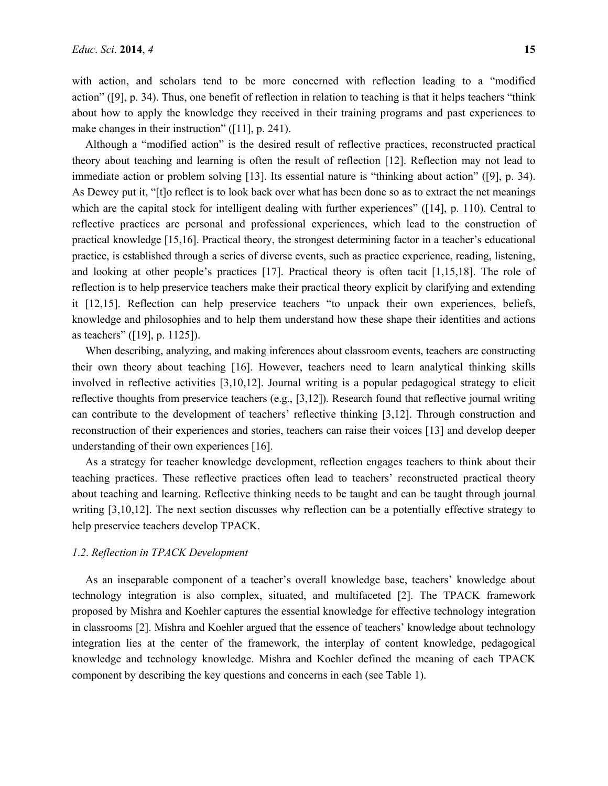with action, and scholars tend to be more concerned with reflection leading to a "modified action" ([9], p. 34). Thus, one benefit of reflection in relation to teaching is that it helps teachers "think about how to apply the knowledge they received in their training programs and past experiences to make changes in their instruction" ([11], p. 241).

Although a "modified action" is the desired result of reflective practices, reconstructed practical theory about teaching and learning is often the result of reflection [12]. Reflection may not lead to immediate action or problem solving [13]. Its essential nature is "thinking about action" ([9], p. 34). As Dewey put it, "[t]o reflect is to look back over what has been done so as to extract the net meanings which are the capital stock for intelligent dealing with further experiences" ([14], p. 110). Central to reflective practices are personal and professional experiences, which lead to the construction of practical knowledge [15,16]. Practical theory, the strongest determining factor in a teacher's educational practice, is established through a series of diverse events, such as practice experience, reading, listening, and looking at other people's practices [17]. Practical theory is often tacit [1,15,18]. The role of reflection is to help preservice teachers make their practical theory explicit by clarifying and extending it [12,15]. Reflection can help preservice teachers "to unpack their own experiences, beliefs, knowledge and philosophies and to help them understand how these shape their identities and actions as teachers" ([19], p. 1125]).

When describing, analyzing, and making inferences about classroom events, teachers are constructing their own theory about teaching [16]. However, teachers need to learn analytical thinking skills involved in reflective activities [3,10,12]. Journal writing is a popular pedagogical strategy to elicit reflective thoughts from preservice teachers (e.g., [3,12]). Research found that reflective journal writing can contribute to the development of teachers' reflective thinking [3,12]. Through construction and reconstruction of their experiences and stories, teachers can raise their voices [13] and develop deeper understanding of their own experiences [16].

As a strategy for teacher knowledge development, reflection engages teachers to think about their teaching practices. These reflective practices often lead to teachers' reconstructed practical theory about teaching and learning. Reflective thinking needs to be taught and can be taught through journal writing [3,10,12]. The next section discusses why reflection can be a potentially effective strategy to help preservice teachers develop TPACK.

#### *1*.*2*. *Reflection in TPACK Development*

As an inseparable component of a teacher's overall knowledge base, teachers' knowledge about technology integration is also complex, situated, and multifaceted [2]. The TPACK framework proposed by Mishra and Koehler captures the essential knowledge for effective technology integration in classrooms [2]. Mishra and Koehler argued that the essence of teachers' knowledge about technology integration lies at the center of the framework, the interplay of content knowledge, pedagogical knowledge and technology knowledge. Mishra and Koehler defined the meaning of each TPACK component by describing the key questions and concerns in each (see Table 1).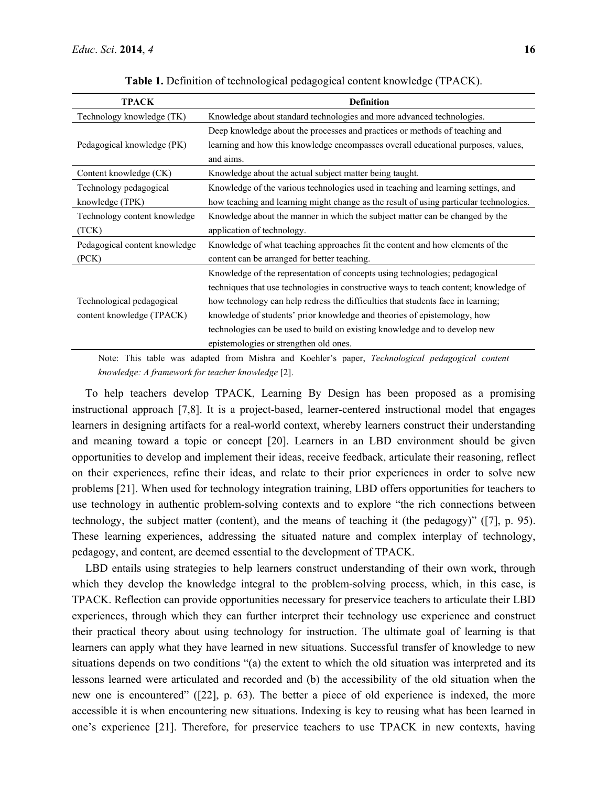| <b>TPACK</b>                  | <b>Definition</b>                                                                      |  |  |  |  |
|-------------------------------|----------------------------------------------------------------------------------------|--|--|--|--|
| Technology knowledge (TK)     | Knowledge about standard technologies and more advanced technologies.                  |  |  |  |  |
|                               | Deep knowledge about the processes and practices or methods of teaching and            |  |  |  |  |
| Pedagogical knowledge (PK)    | learning and how this knowledge encompasses overall educational purposes, values,      |  |  |  |  |
|                               | and aims.                                                                              |  |  |  |  |
| Content knowledge (CK)        | Knowledge about the actual subject matter being taught.                                |  |  |  |  |
| Technology pedagogical        | Knowledge of the various technologies used in teaching and learning settings, and      |  |  |  |  |
| knowledge (TPK)               | how teaching and learning might change as the result of using particular technologies. |  |  |  |  |
| Technology content knowledge  | Knowledge about the manner in which the subject matter can be changed by the           |  |  |  |  |
| (TCK)                         | application of technology.                                                             |  |  |  |  |
| Pedagogical content knowledge | Knowledge of what teaching approaches fit the content and how elements of the          |  |  |  |  |
| (PCK)                         | content can be arranged for better teaching.                                           |  |  |  |  |
|                               | Knowledge of the representation of concepts using technologies; pedagogical            |  |  |  |  |
|                               | techniques that use technologies in constructive ways to teach content; knowledge of   |  |  |  |  |
| Technological pedagogical     | how technology can help redress the difficulties that students face in learning;       |  |  |  |  |
| content knowledge (TPACK)     | knowledge of students' prior knowledge and theories of epistemology, how               |  |  |  |  |
|                               | technologies can be used to build on existing knowledge and to develop new             |  |  |  |  |
|                               | epistemologies or strengthen old ones.                                                 |  |  |  |  |

**Table 1.** Definition of technological pedagogical content knowledge (TPACK).

Note: This table was adapted from Mishra and Koehler's paper, *Technological pedagogical content knowledge: A framework for teacher knowledge* [2].

To help teachers develop TPACK, Learning By Design has been proposed as a promising instructional approach [7,8]. It is a project-based, learner-centered instructional model that engages learners in designing artifacts for a real-world context, whereby learners construct their understanding and meaning toward a topic or concept [20]. Learners in an LBD environment should be given opportunities to develop and implement their ideas, receive feedback, articulate their reasoning, reflect on their experiences, refine their ideas, and relate to their prior experiences in order to solve new problems [21]. When used for technology integration training, LBD offers opportunities for teachers to use technology in authentic problem-solving contexts and to explore "the rich connections between technology, the subject matter (content), and the means of teaching it (the pedagogy)" ([7], p. 95). These learning experiences, addressing the situated nature and complex interplay of technology, pedagogy, and content, are deemed essential to the development of TPACK.

LBD entails using strategies to help learners construct understanding of their own work, through which they develop the knowledge integral to the problem-solving process, which, in this case, is TPACK. Reflection can provide opportunities necessary for preservice teachers to articulate their LBD experiences, through which they can further interpret their technology use experience and construct their practical theory about using technology for instruction. The ultimate goal of learning is that learners can apply what they have learned in new situations. Successful transfer of knowledge to new situations depends on two conditions "(a) the extent to which the old situation was interpreted and its lessons learned were articulated and recorded and (b) the accessibility of the old situation when the new one is encountered" ([22], p. 63). The better a piece of old experience is indexed, the more accessible it is when encountering new situations. Indexing is key to reusing what has been learned in one's experience [21]. Therefore, for preservice teachers to use TPACK in new contexts, having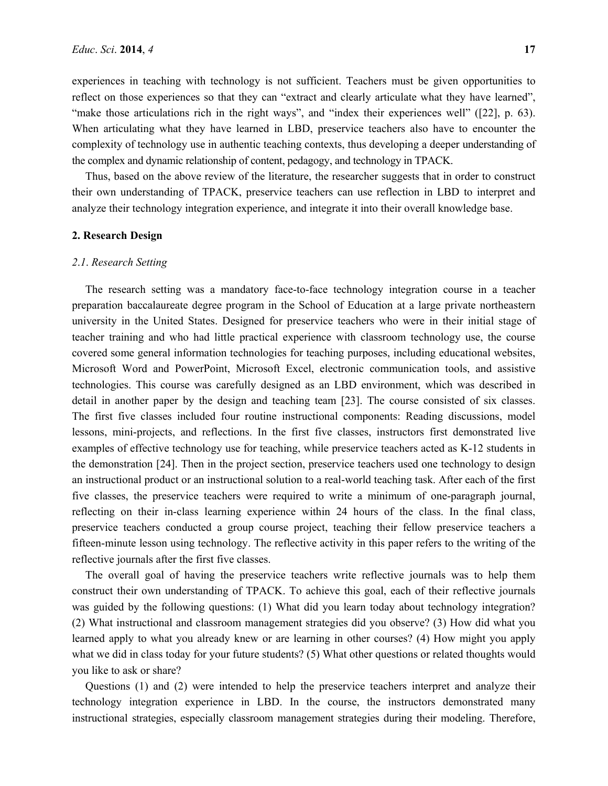experiences in teaching with technology is not sufficient. Teachers must be given opportunities to reflect on those experiences so that they can "extract and clearly articulate what they have learned", "make those articulations rich in the right ways", and "index their experiences well" ([22], p. 63). When articulating what they have learned in LBD, preservice teachers also have to encounter the complexity of technology use in authentic teaching contexts, thus developing a deeper understanding of the complex and dynamic relationship of content, pedagogy, and technology in TPACK.

Thus, based on the above review of the literature, the researcher suggests that in order to construct their own understanding of TPACK, preservice teachers can use reflection in LBD to interpret and analyze their technology integration experience, and integrate it into their overall knowledge base.

#### **2. Research Design**

#### *2*.*1*. *Research Setting*

The research setting was a mandatory face-to-face technology integration course in a teacher preparation baccalaureate degree program in the School of Education at a large private northeastern university in the United States. Designed for preservice teachers who were in their initial stage of teacher training and who had little practical experience with classroom technology use, the course covered some general information technologies for teaching purposes, including educational websites, Microsoft Word and PowerPoint, Microsoft Excel, electronic communication tools, and assistive technologies. This course was carefully designed as an LBD environment, which was described in detail in another paper by the design and teaching team [23]. The course consisted of six classes. The first five classes included four routine instructional components: Reading discussions, model lessons, mini-projects, and reflections. In the first five classes, instructors first demonstrated live examples of effective technology use for teaching, while preservice teachers acted as K-12 students in the demonstration [24]. Then in the project section, preservice teachers used one technology to design an instructional product or an instructional solution to a real-world teaching task. After each of the first five classes, the preservice teachers were required to write a minimum of one-paragraph journal, reflecting on their in-class learning experience within 24 hours of the class. In the final class, preservice teachers conducted a group course project, teaching their fellow preservice teachers a fifteen-minute lesson using technology. The reflective activity in this paper refers to the writing of the reflective journals after the first five classes.

The overall goal of having the preservice teachers write reflective journals was to help them construct their own understanding of TPACK. To achieve this goal, each of their reflective journals was guided by the following questions: (1) What did you learn today about technology integration? (2) What instructional and classroom management strategies did you observe? (3) How did what you learned apply to what you already knew or are learning in other courses? (4) How might you apply what we did in class today for your future students? (5) What other questions or related thoughts would you like to ask or share?

Questions (1) and (2) were intended to help the preservice teachers interpret and analyze their technology integration experience in LBD. In the course, the instructors demonstrated many instructional strategies, especially classroom management strategies during their modeling. Therefore,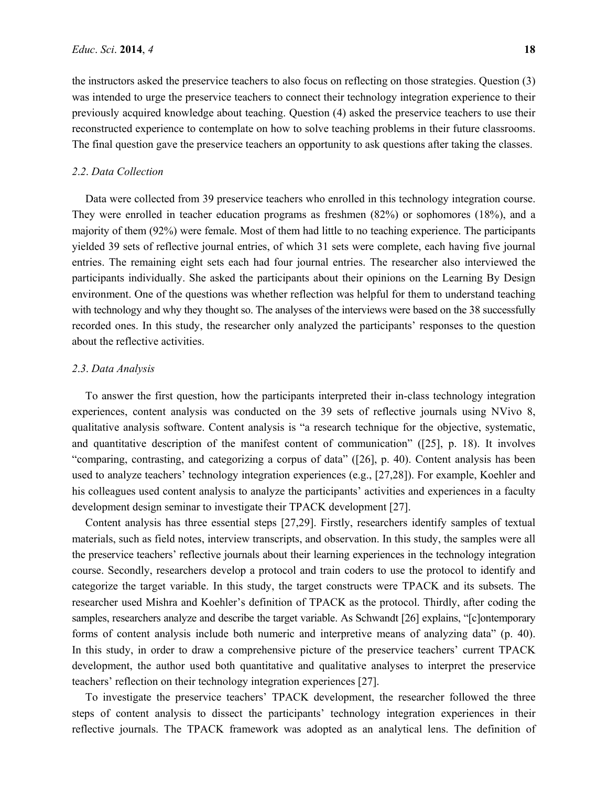the instructors asked the preservice teachers to also focus on reflecting on those strategies. Question (3) was intended to urge the preservice teachers to connect their technology integration experience to their previously acquired knowledge about teaching. Question (4) asked the preservice teachers to use their reconstructed experience to contemplate on how to solve teaching problems in their future classrooms. The final question gave the preservice teachers an opportunity to ask questions after taking the classes.

#### *2*.*2*. *Data Collection*

Data were collected from 39 preservice teachers who enrolled in this technology integration course. They were enrolled in teacher education programs as freshmen (82%) or sophomores (18%), and a majority of them (92%) were female. Most of them had little to no teaching experience. The participants yielded 39 sets of reflective journal entries, of which 31 sets were complete, each having five journal entries. The remaining eight sets each had four journal entries. The researcher also interviewed the participants individually. She asked the participants about their opinions on the Learning By Design environment. One of the questions was whether reflection was helpful for them to understand teaching with technology and why they thought so. The analyses of the interviews were based on the 38 successfully recorded ones. In this study, the researcher only analyzed the participants' responses to the question about the reflective activities.

#### *2*.*3*. *Data Analysis*

To answer the first question, how the participants interpreted their in-class technology integration experiences, content analysis was conducted on the 39 sets of reflective journals using NVivo 8, qualitative analysis software. Content analysis is "a research technique for the objective, systematic, and quantitative description of the manifest content of communication" ([25], p. 18). It involves "comparing, contrasting, and categorizing a corpus of data" ([26], p. 40). Content analysis has been used to analyze teachers' technology integration experiences (e.g., [27,28]). For example, Koehler and his colleagues used content analysis to analyze the participants' activities and experiences in a faculty development design seminar to investigate their TPACK development [27].

Content analysis has three essential steps [27,29]. Firstly, researchers identify samples of textual materials, such as field notes, interview transcripts, and observation. In this study, the samples were all the preservice teachers' reflective journals about their learning experiences in the technology integration course. Secondly, researchers develop a protocol and train coders to use the protocol to identify and categorize the target variable. In this study, the target constructs were TPACK and its subsets. The researcher used Mishra and Koehler's definition of TPACK as the protocol. Thirdly, after coding the samples, researchers analyze and describe the target variable. As Schwandt [26] explains, "[c]ontemporary forms of content analysis include both numeric and interpretive means of analyzing data" (p. 40). In this study, in order to draw a comprehensive picture of the preservice teachers' current TPACK development, the author used both quantitative and qualitative analyses to interpret the preservice teachers' reflection on their technology integration experiences [27].

To investigate the preservice teachers' TPACK development, the researcher followed the three steps of content analysis to dissect the participants' technology integration experiences in their reflective journals. The TPACK framework was adopted as an analytical lens. The definition of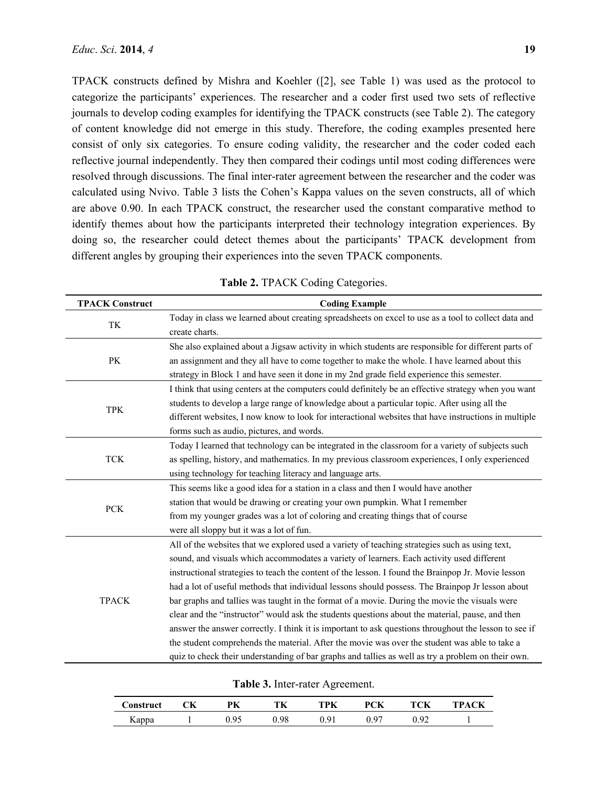TPACK constructs defined by Mishra and Koehler ([2], see Table 1) was used as the protocol to categorize the participants' experiences. The researcher and a coder first used two sets of reflective journals to develop coding examples for identifying the TPACK constructs (see Table 2). The category of content knowledge did not emerge in this study. Therefore, the coding examples presented here consist of only six categories. To ensure coding validity, the researcher and the coder coded each reflective journal independently. They then compared their codings until most coding differences were resolved through discussions. The final inter-rater agreement between the researcher and the coder was calculated using Nvivo. Table 3 lists the Cohen's Kappa values on the seven constructs, all of which are above 0.90. In each TPACK construct, the researcher used the constant comparative method to identify themes about how the participants interpreted their technology integration experiences. By doing so, the researcher could detect themes about the participants' TPACK development from different angles by grouping their experiences into the seven TPACK components.

| <b>TPACK Construct</b> | <b>Coding Example</b>                                                                                                                                                                                                                                                                                                                                                                                                                                                                                                                                                                                                                                                                                                                                                                                                                                                                                                     |  |  |  |  |  |  |
|------------------------|---------------------------------------------------------------------------------------------------------------------------------------------------------------------------------------------------------------------------------------------------------------------------------------------------------------------------------------------------------------------------------------------------------------------------------------------------------------------------------------------------------------------------------------------------------------------------------------------------------------------------------------------------------------------------------------------------------------------------------------------------------------------------------------------------------------------------------------------------------------------------------------------------------------------------|--|--|--|--|--|--|
| TK                     | Today in class we learned about creating spreadsheets on excel to use as a tool to collect data and<br>create charts.                                                                                                                                                                                                                                                                                                                                                                                                                                                                                                                                                                                                                                                                                                                                                                                                     |  |  |  |  |  |  |
| PK                     | She also explained about a Jigsaw activity in which students are responsible for different parts of<br>an assignment and they all have to come together to make the whole. I have learned about this<br>strategy in Block 1 and have seen it done in my 2nd grade field experience this semester.                                                                                                                                                                                                                                                                                                                                                                                                                                                                                                                                                                                                                         |  |  |  |  |  |  |
| <b>TPK</b>             | I think that using centers at the computers could definitely be an effective strategy when you want<br>students to develop a large range of knowledge about a particular topic. After using all the<br>different websites, I now know to look for interactional websites that have instructions in multiple<br>forms such as audio, pictures, and words.                                                                                                                                                                                                                                                                                                                                                                                                                                                                                                                                                                  |  |  |  |  |  |  |
| <b>TCK</b>             | Today I learned that technology can be integrated in the classroom for a variety of subjects such<br>as spelling, history, and mathematics. In my previous classroom experiences, I only experienced<br>using technology for teaching literacy and language arts.                                                                                                                                                                                                                                                                                                                                                                                                                                                                                                                                                                                                                                                         |  |  |  |  |  |  |
| <b>PCK</b>             | This seems like a good idea for a station in a class and then I would have another<br>station that would be drawing or creating your own pumpkin. What I remember<br>from my younger grades was a lot of coloring and creating things that of course<br>were all sloppy but it was a lot of fun.                                                                                                                                                                                                                                                                                                                                                                                                                                                                                                                                                                                                                          |  |  |  |  |  |  |
| <b>TPACK</b>           | All of the websites that we explored used a variety of teaching strategies such as using text,<br>sound, and visuals which accommodates a variety of learners. Each activity used different<br>instructional strategies to teach the content of the lesson. I found the Brainpop Jr. Movie lesson<br>had a lot of useful methods that individual lessons should possess. The Brainpop Jr lesson about<br>bar graphs and tallies was taught in the format of a movie. During the movie the visuals were<br>clear and the "instructor" would ask the students questions about the material, pause, and then<br>answer the answer correctly. I think it is important to ask questions throughout the lesson to see if<br>the student comprehends the material. After the movie was over the student was able to take a<br>quiz to check their understanding of bar graphs and tallies as well as try a problem on their own. |  |  |  |  |  |  |

**Table 2.** TPACK Coding Categories.

**Table 3.** Inter-rater Agreement.

| Construct | PК   | TK  | TPK | <b>PCK</b> | TCK | траск |
|-----------|------|-----|-----|------------|-----|-------|
| Kappa     | በ ዐ< | .98 | ۵۰. | በ ዐ′       |     |       |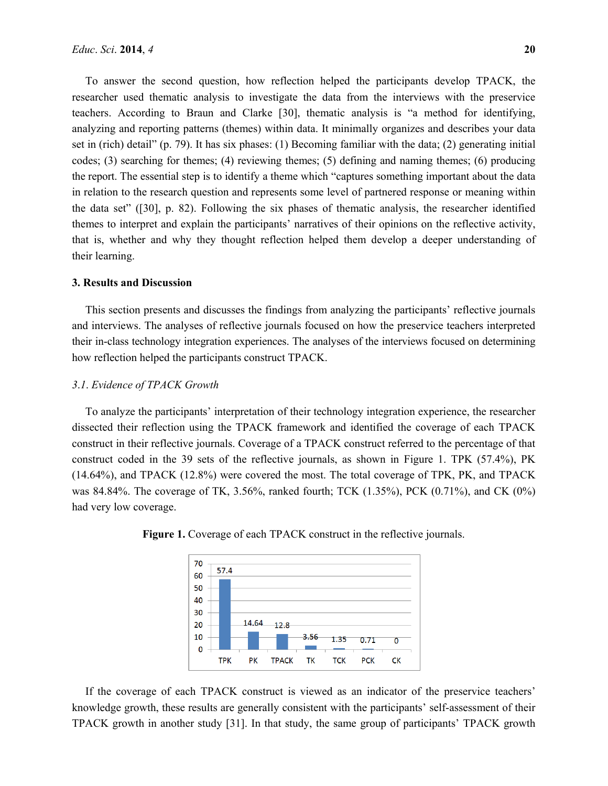To answer the second question, how reflection helped the participants develop TPACK, the researcher used thematic analysis to investigate the data from the interviews with the preservice teachers. According to Braun and Clarke [30], thematic analysis is "a method for identifying, analyzing and reporting patterns (themes) within data. It minimally organizes and describes your data set in (rich) detail" (p. 79). It has six phases: (1) Becoming familiar with the data; (2) generating initial codes; (3) searching for themes; (4) reviewing themes; (5) defining and naming themes; (6) producing the report. The essential step is to identify a theme which "captures something important about the data in relation to the research question and represents some level of partnered response or meaning within the data set" ([30], p. 82). Following the six phases of thematic analysis, the researcher identified themes to interpret and explain the participants' narratives of their opinions on the reflective activity, that is, whether and why they thought reflection helped them develop a deeper understanding of their learning.

#### **3. Results and Discussion**

This section presents and discusses the findings from analyzing the participants' reflective journals and interviews. The analyses of reflective journals focused on how the preservice teachers interpreted their in-class technology integration experiences. The analyses of the interviews focused on determining how reflection helped the participants construct TPACK.

#### *3*.*1*. *Evidence of TPACK Growth*

To analyze the participants' interpretation of their technology integration experience, the researcher dissected their reflection using the TPACK framework and identified the coverage of each TPACK construct in their reflective journals. Coverage of a TPACK construct referred to the percentage of that construct coded in the 39 sets of the reflective journals, as shown in Figure 1. TPK (57.4%), PK (14.64%), and TPACK (12.8%) were covered the most. The total coverage of TPK, PK, and TPACK was 84.84%. The coverage of TK, 3.56%, ranked fourth; TCK (1.35%), PCK (0.71%), and CK (0%) had very low coverage.



**Figure 1.** Coverage of each TPACK construct in the reflective journals.

If the coverage of each TPACK construct is viewed as an indicator of the preservice teachers' knowledge growth, these results are generally consistent with the participants' self-assessment of their TPACK growth in another study [31]. In that study, the same group of participants' TPACK growth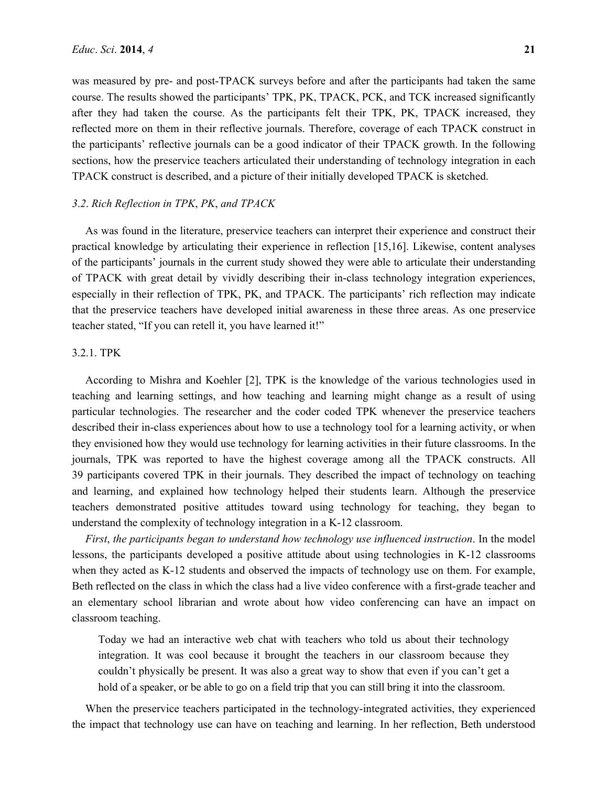was measured by pre- and post-TPACK surveys before and after the participants had taken the same course. The results showed the participants' TPK, PK, TPACK, PCK, and TCK increased significantly after they had taken the course. As the participants felt their TPK, PK, TPACK increased, they reflected more on them in their reflective journals. Therefore, coverage of each TPACK construct in the participants' reflective journals can be a good indicator of their TPACK growth. In the following sections, how the preservice teachers articulated their understanding of technology integration in each TPACK construct is described, and a picture of their initially developed TPACK is sketched.

## *3*.*2*. *Rich Reflection in TPK*, *PK*, *and TPACK*

As was found in the literature, preservice teachers can interpret their experience and construct their practical knowledge by articulating their experience in reflection [15,16]. Likewise, content analyses of the participants' journals in the current study showed they were able to articulate their understanding of TPACK with great detail by vividly describing their in-class technology integration experiences, especially in their reflection of TPK, PK, and TPACK. The participants' rich reflection may indicate that the preservice teachers have developed initial awareness in these three areas. As one preservice teacher stated, "If you can retell it, you have learned it!"

#### 3.2.1. TPK

According to Mishra and Koehler [2], TPK is the knowledge of the various technologies used in teaching and learning settings, and how teaching and learning might change as a result of using particular technologies. The researcher and the coder coded TPK whenever the preservice teachers described their in-class experiences about how to use a technology tool for a learning activity, or when they envisioned how they would use technology for learning activities in their future classrooms. In the journals, TPK was reported to have the highest coverage among all the TPACK constructs. All 39 participants covered TPK in their journals. They described the impact of technology on teaching and learning, and explained how technology helped their students learn. Although the preservice teachers demonstrated positive attitudes toward using technology for teaching, they began to understand the complexity of technology integration in a K-12 classroom.

*First*, *the participants began to understand how technology use influenced instruction*. In the model lessons, the participants developed a positive attitude about using technologies in K-12 classrooms when they acted as K-12 students and observed the impacts of technology use on them. For example, Beth reflected on the class in which the class had a live video conference with a first-grade teacher and an elementary school librarian and wrote about how video conferencing can have an impact on classroom teaching.

Today we had an interactive web chat with teachers who told us about their technology integration. It was cool because it brought the teachers in our classroom because they couldn't physically be present. It was also a great way to show that even if you can't get a hold of a speaker, or be able to go on a field trip that you can still bring it into the classroom.

When the preservice teachers participated in the technology-integrated activities, they experienced the impact that technology use can have on teaching and learning. In her reflection, Beth understood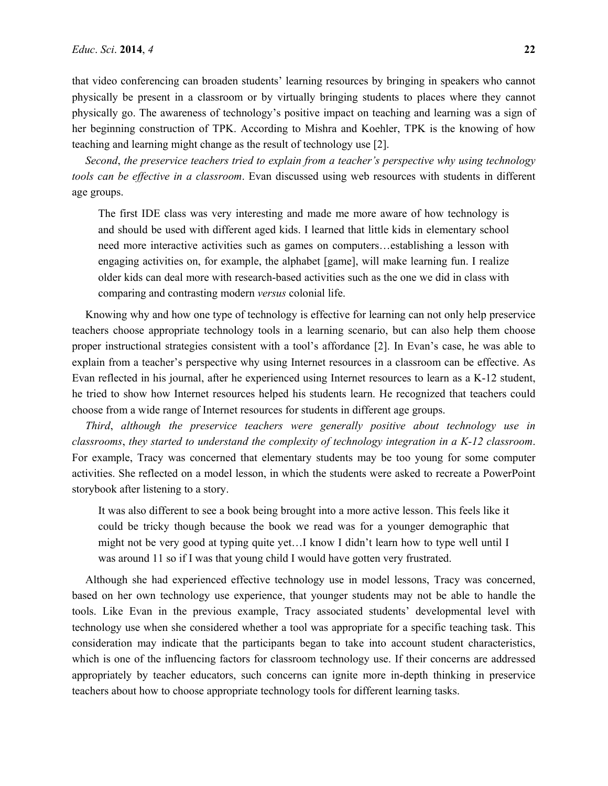that video conferencing can broaden students' learning resources by bringing in speakers who cannot physically be present in a classroom or by virtually bringing students to places where they cannot physically go. The awareness of technology's positive impact on teaching and learning was a sign of her beginning construction of TPK. According to Mishra and Koehler, TPK is the knowing of how teaching and learning might change as the result of technology use [2].

*Second*, *the preservice teachers tried to explain from a teacher's perspective why using technology tools can be effective in a classroom*. Evan discussed using web resources with students in different age groups.

The first IDE class was very interesting and made me more aware of how technology is and should be used with different aged kids. I learned that little kids in elementary school need more interactive activities such as games on computers…establishing a lesson with engaging activities on, for example, the alphabet [game], will make learning fun. I realize older kids can deal more with research-based activities such as the one we did in class with comparing and contrasting modern *versus* colonial life.

Knowing why and how one type of technology is effective for learning can not only help preservice teachers choose appropriate technology tools in a learning scenario, but can also help them choose proper instructional strategies consistent with a tool's affordance [2]. In Evan's case, he was able to explain from a teacher's perspective why using Internet resources in a classroom can be effective. As Evan reflected in his journal, after he experienced using Internet resources to learn as a K-12 student, he tried to show how Internet resources helped his students learn. He recognized that teachers could choose from a wide range of Internet resources for students in different age groups.

*Third*, *although the preservice teachers were generally positive about technology use in classrooms*, *they started to understand the complexity of technology integration in a K-12 classroom*. For example, Tracy was concerned that elementary students may be too young for some computer activities. She reflected on a model lesson, in which the students were asked to recreate a PowerPoint storybook after listening to a story.

It was also different to see a book being brought into a more active lesson. This feels like it could be tricky though because the book we read was for a younger demographic that might not be very good at typing quite yet…I know I didn't learn how to type well until I was around 11 so if I was that young child I would have gotten very frustrated.

Although she had experienced effective technology use in model lessons, Tracy was concerned, based on her own technology use experience, that younger students may not be able to handle the tools. Like Evan in the previous example, Tracy associated students' developmental level with technology use when she considered whether a tool was appropriate for a specific teaching task. This consideration may indicate that the participants began to take into account student characteristics, which is one of the influencing factors for classroom technology use. If their concerns are addressed appropriately by teacher educators, such concerns can ignite more in-depth thinking in preservice teachers about how to choose appropriate technology tools for different learning tasks.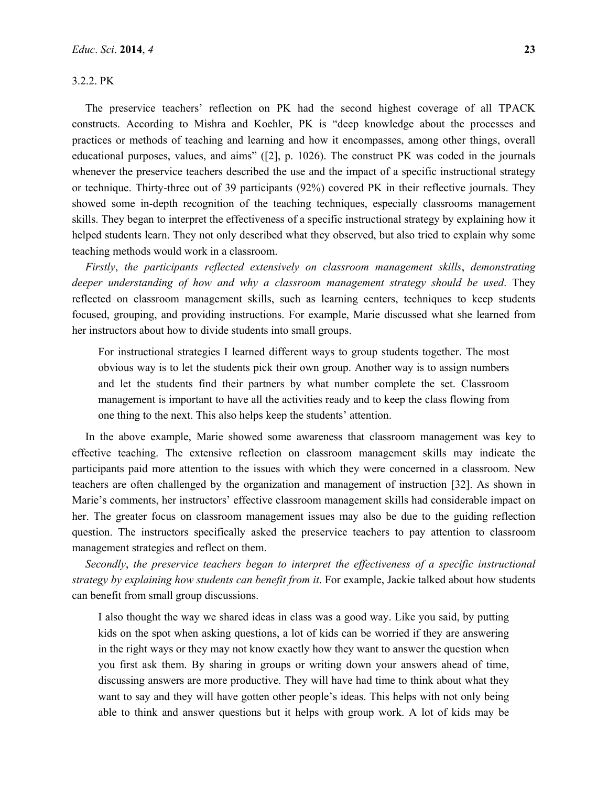## 3.2.2. PK

The preservice teachers' reflection on PK had the second highest coverage of all TPACK constructs. According to Mishra and Koehler, PK is "deep knowledge about the processes and practices or methods of teaching and learning and how it encompasses, among other things, overall educational purposes, values, and aims" ([2], p. 1026). The construct PK was coded in the journals whenever the preservice teachers described the use and the impact of a specific instructional strategy or technique. Thirty-three out of 39 participants (92%) covered PK in their reflective journals. They showed some in-depth recognition of the teaching techniques, especially classrooms management skills. They began to interpret the effectiveness of a specific instructional strategy by explaining how it helped students learn. They not only described what they observed, but also tried to explain why some teaching methods would work in a classroom.

*Firstly*, *the participants reflected extensively on classroom management skills*, *demonstrating deeper understanding of how and why a classroom management strategy should be used*. They reflected on classroom management skills, such as learning centers, techniques to keep students focused, grouping, and providing instructions. For example, Marie discussed what she learned from her instructors about how to divide students into small groups.

For instructional strategies I learned different ways to group students together. The most obvious way is to let the students pick their own group. Another way is to assign numbers and let the students find their partners by what number complete the set. Classroom management is important to have all the activities ready and to keep the class flowing from one thing to the next. This also helps keep the students' attention.

In the above example, Marie showed some awareness that classroom management was key to effective teaching. The extensive reflection on classroom management skills may indicate the participants paid more attention to the issues with which they were concerned in a classroom. New teachers are often challenged by the organization and management of instruction [32]. As shown in Marie's comments, her instructors' effective classroom management skills had considerable impact on her. The greater focus on classroom management issues may also be due to the guiding reflection question. The instructors specifically asked the preservice teachers to pay attention to classroom management strategies and reflect on them.

*Secondly*, *the preservice teachers began to interpret the effectiveness of a specific instructional strategy by explaining how students can benefit from it*. For example, Jackie talked about how students can benefit from small group discussions.

I also thought the way we shared ideas in class was a good way. Like you said, by putting kids on the spot when asking questions, a lot of kids can be worried if they are answering in the right ways or they may not know exactly how they want to answer the question when you first ask them. By sharing in groups or writing down your answers ahead of time, discussing answers are more productive. They will have had time to think about what they want to say and they will have gotten other people's ideas. This helps with not only being able to think and answer questions but it helps with group work. A lot of kids may be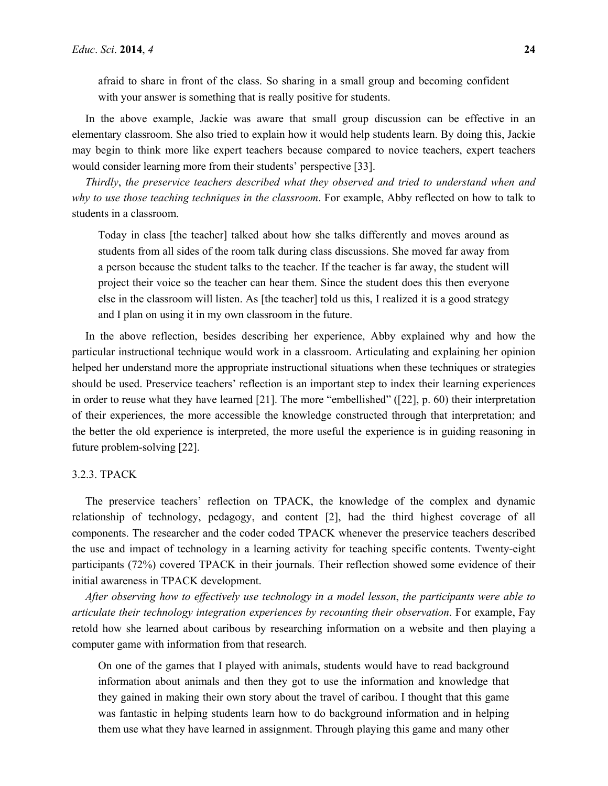afraid to share in front of the class. So sharing in a small group and becoming confident with your answer is something that is really positive for students.

In the above example, Jackie was aware that small group discussion can be effective in an elementary classroom. She also tried to explain how it would help students learn. By doing this, Jackie may begin to think more like expert teachers because compared to novice teachers, expert teachers would consider learning more from their students' perspective [33].

*Thirdly*, *the preservice teachers described what they observed and tried to understand when and why to use those teaching techniques in the classroom*. For example, Abby reflected on how to talk to students in a classroom.

Today in class [the teacher] talked about how she talks differently and moves around as students from all sides of the room talk during class discussions. She moved far away from a person because the student talks to the teacher. If the teacher is far away, the student will project their voice so the teacher can hear them. Since the student does this then everyone else in the classroom will listen. As [the teacher] told us this, I realized it is a good strategy and I plan on using it in my own classroom in the future.

In the above reflection, besides describing her experience, Abby explained why and how the particular instructional technique would work in a classroom. Articulating and explaining her opinion helped her understand more the appropriate instructional situations when these techniques or strategies should be used. Preservice teachers' reflection is an important step to index their learning experiences in order to reuse what they have learned [21]. The more "embellished" ([22], p. 60) their interpretation of their experiences, the more accessible the knowledge constructed through that interpretation; and the better the old experience is interpreted, the more useful the experience is in guiding reasoning in future problem-solving [22].

#### 3.2.3. TPACK

The preservice teachers' reflection on TPACK, the knowledge of the complex and dynamic relationship of technology, pedagogy, and content [2], had the third highest coverage of all components. The researcher and the coder coded TPACK whenever the preservice teachers described the use and impact of technology in a learning activity for teaching specific contents. Twenty-eight participants (72%) covered TPACK in their journals. Their reflection showed some evidence of their initial awareness in TPACK development.

*After observing how to effectively use technology in a model lesson*, *the participants were able to articulate their technology integration experiences by recounting their observation*. For example, Fay retold how she learned about caribous by researching information on a website and then playing a computer game with information from that research.

On one of the games that I played with animals, students would have to read background information about animals and then they got to use the information and knowledge that they gained in making their own story about the travel of caribou. I thought that this game was fantastic in helping students learn how to do background information and in helping them use what they have learned in assignment. Through playing this game and many other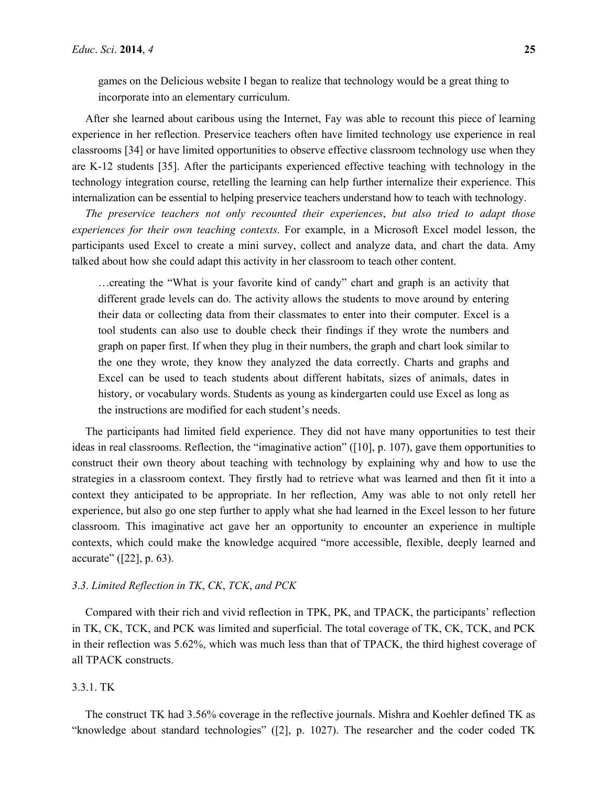games on the Delicious website I began to realize that technology would be a great thing to incorporate into an elementary curriculum.

After she learned about caribous using the Internet, Fay was able to recount this piece of learning experience in her reflection. Preservice teachers often have limited technology use experience in real classrooms [34] or have limited opportunities to observe effective classroom technology use when they are K-12 students [35]. After the participants experienced effective teaching with technology in the technology integration course, retelling the learning can help further internalize their experience. This internalization can be essential to helping preservice teachers understand how to teach with technology.

*The preservice teachers not only recounted their experiences*, *but also tried to adapt those experiences for their own teaching contexts*. For example, in a Microsoft Excel model lesson, the participants used Excel to create a mini survey, collect and analyze data, and chart the data. Amy talked about how she could adapt this activity in her classroom to teach other content.

…creating the "What is your favorite kind of candy" chart and graph is an activity that different grade levels can do. The activity allows the students to move around by entering their data or collecting data from their classmates to enter into their computer. Excel is a tool students can also use to double check their findings if they wrote the numbers and graph on paper first. If when they plug in their numbers, the graph and chart look similar to the one they wrote, they know they analyzed the data correctly. Charts and graphs and Excel can be used to teach students about different habitats, sizes of animals, dates in history, or vocabulary words. Students as young as kindergarten could use Excel as long as the instructions are modified for each student's needs.

The participants had limited field experience. They did not have many opportunities to test their ideas in real classrooms. Reflection, the "imaginative action" ([10], p. 107), gave them opportunities to construct their own theory about teaching with technology by explaining why and how to use the strategies in a classroom context. They firstly had to retrieve what was learned and then fit it into a context they anticipated to be appropriate. In her reflection, Amy was able to not only retell her experience, but also go one step further to apply what she had learned in the Excel lesson to her future classroom. This imaginative act gave her an opportunity to encounter an experience in multiple contexts, which could make the knowledge acquired "more accessible, flexible, deeply learned and accurate" ([22], p. 63).

## *3*.*3*. *Limited Reflection in TK*, *CK*, *TCK*, *and PCK*

Compared with their rich and vivid reflection in TPK, PK, and TPACK, the participants' reflection in TK, CK, TCK, and PCK was limited and superficial. The total coverage of TK, CK, TCK, and PCK in their reflection was 5.62%, which was much less than that of TPACK, the third highest coverage of all TPACK constructs.

## 3.3.1. TK

The construct TK had 3.56% coverage in the reflective journals. Mishra and Koehler defined TK as "knowledge about standard technologies" ([2], p. 1027). The researcher and the coder coded TK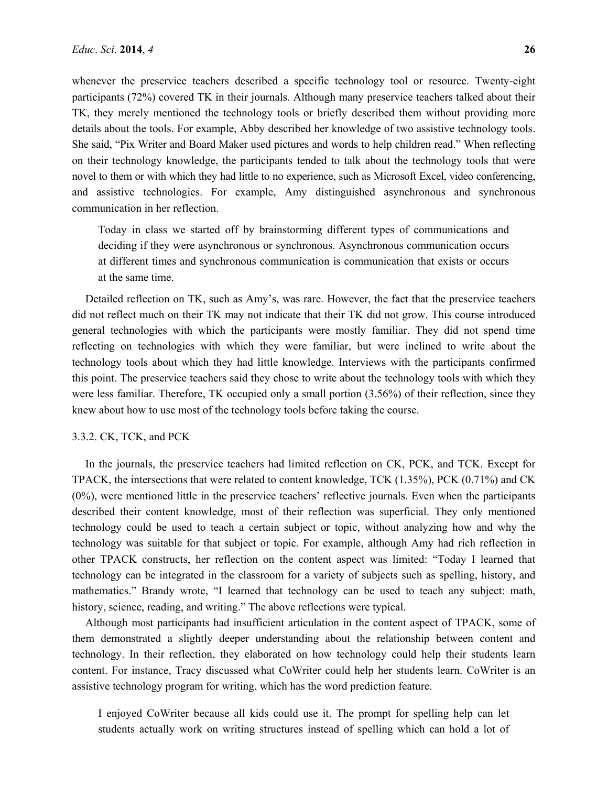whenever the preservice teachers described a specific technology tool or resource. Twenty-eight participants (72%) covered TK in their journals. Although many preservice teachers talked about their TK, they merely mentioned the technology tools or briefly described them without providing more details about the tools. For example, Abby described her knowledge of two assistive technology tools. She said, "Pix Writer and Board Maker used pictures and words to help children read." When reflecting on their technology knowledge, the participants tended to talk about the technology tools that were novel to them or with which they had little to no experience, such as Microsoft Excel, video conferencing, and assistive technologies. For example, Amy distinguished asynchronous and synchronous communication in her reflection.

Today in class we started off by brainstorming different types of communications and deciding if they were asynchronous or synchronous. Asynchronous communication occurs at different times and synchronous communication is communication that exists or occurs at the same time.

Detailed reflection on TK, such as Amy's, was rare. However, the fact that the preservice teachers did not reflect much on their TK may not indicate that their TK did not grow. This course introduced general technologies with which the participants were mostly familiar. They did not spend time reflecting on technologies with which they were familiar, but were inclined to write about the technology tools about which they had little knowledge. Interviews with the participants confirmed this point. The preservice teachers said they chose to write about the technology tools with which they were less familiar. Therefore, TK occupied only a small portion (3.56%) of their reflection, since they knew about how to use most of the technology tools before taking the course.

#### 3.3.2. CK, TCK, and PCK

In the journals, the preservice teachers had limited reflection on CK, PCK, and TCK. Except for TPACK, the intersections that were related to content knowledge, TCK (1.35%), PCK (0.71%) and CK (0%), were mentioned little in the preservice teachers' reflective journals. Even when the participants described their content knowledge, most of their reflection was superficial. They only mentioned technology could be used to teach a certain subject or topic, without analyzing how and why the technology was suitable for that subject or topic. For example, although Amy had rich reflection in other TPACK constructs, her reflection on the content aspect was limited: "Today I learned that technology can be integrated in the classroom for a variety of subjects such as spelling, history, and mathematics." Brandy wrote, "I learned that technology can be used to teach any subject: math, history, science, reading, and writing." The above reflections were typical.

Although most participants had insufficient articulation in the content aspect of TPACK, some of them demonstrated a slightly deeper understanding about the relationship between content and technology. In their reflection, they elaborated on how technology could help their students learn content. For instance, Tracy discussed what CoWriter could help her students learn. CoWriter is an assistive technology program for writing, which has the word prediction feature.

I enjoyed CoWriter because all kids could use it. The prompt for spelling help can let students actually work on writing structures instead of spelling which can hold a lot of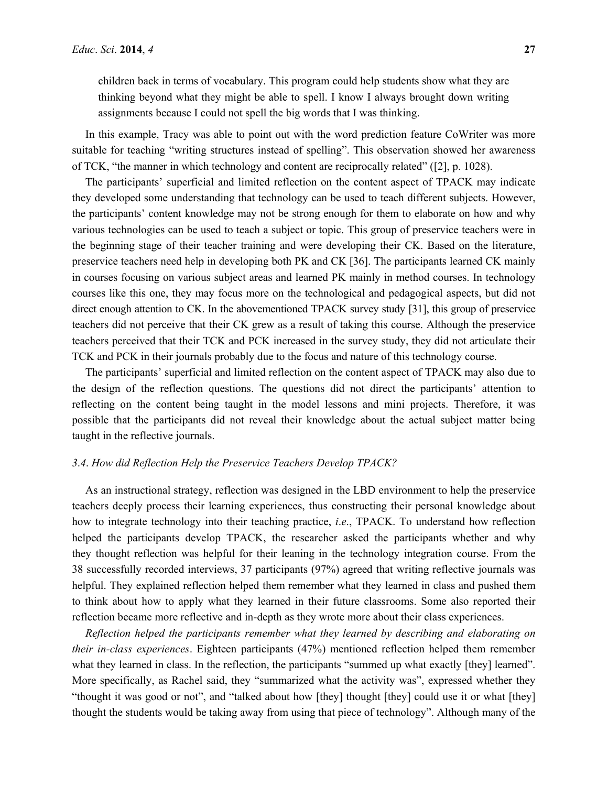In this example, Tracy was able to point out with the word prediction feature CoWriter was more suitable for teaching "writing structures instead of spelling". This observation showed her awareness of TCK, "the manner in which technology and content are reciprocally related" ([2], p. 1028).

The participants' superficial and limited reflection on the content aspect of TPACK may indicate they developed some understanding that technology can be used to teach different subjects. However, the participants' content knowledge may not be strong enough for them to elaborate on how and why various technologies can be used to teach a subject or topic. This group of preservice teachers were in the beginning stage of their teacher training and were developing their CK. Based on the literature, preservice teachers need help in developing both PK and CK [36]. The participants learned CK mainly in courses focusing on various subject areas and learned PK mainly in method courses. In technology courses like this one, they may focus more on the technological and pedagogical aspects, but did not direct enough attention to CK. In the abovementioned TPACK survey study [31], this group of preservice teachers did not perceive that their CK grew as a result of taking this course. Although the preservice teachers perceived that their TCK and PCK increased in the survey study, they did not articulate their TCK and PCK in their journals probably due to the focus and nature of this technology course.

The participants' superficial and limited reflection on the content aspect of TPACK may also due to the design of the reflection questions. The questions did not direct the participants' attention to reflecting on the content being taught in the model lessons and mini projects. Therefore, it was possible that the participants did not reveal their knowledge about the actual subject matter being taught in the reflective journals.

#### *3*.*4*. *How did Reflection Help the Preservice Teachers Develop TPACK?*

As an instructional strategy, reflection was designed in the LBD environment to help the preservice teachers deeply process their learning experiences, thus constructing their personal knowledge about how to integrate technology into their teaching practice, *i*.*e*., TPACK. To understand how reflection helped the participants develop TPACK, the researcher asked the participants whether and why they thought reflection was helpful for their leaning in the technology integration course. From the 38 successfully recorded interviews, 37 participants (97%) agreed that writing reflective journals was helpful. They explained reflection helped them remember what they learned in class and pushed them to think about how to apply what they learned in their future classrooms. Some also reported their reflection became more reflective and in-depth as they wrote more about their class experiences.

*Reflection helped the participants remember what they learned by describing and elaborating on their in-class experiences*. Eighteen participants (47%) mentioned reflection helped them remember what they learned in class. In the reflection, the participants "summed up what exactly [they] learned". More specifically, as Rachel said, they "summarized what the activity was", expressed whether they "thought it was good or not", and "talked about how [they] thought [they] could use it or what [they] thought the students would be taking away from using that piece of technology". Although many of the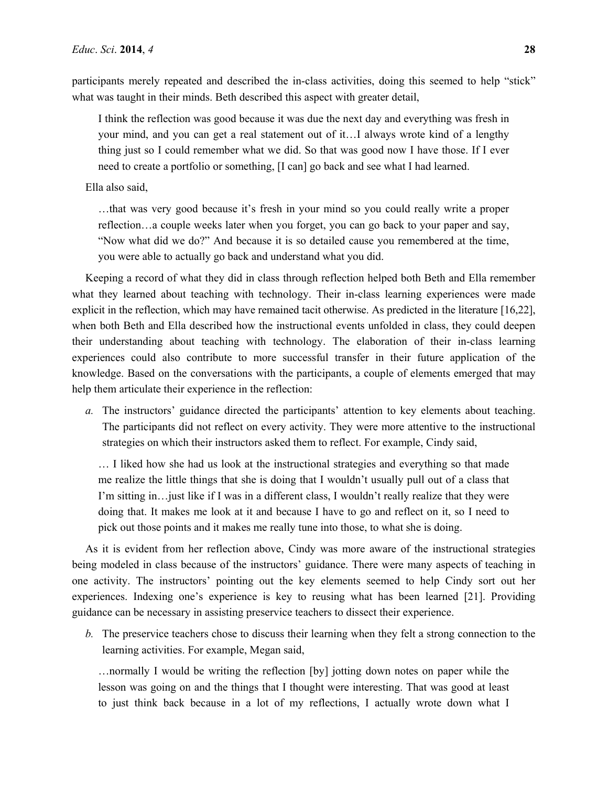participants merely repeated and described the in-class activities, doing this seemed to help "stick" what was taught in their minds. Beth described this aspect with greater detail,

I think the reflection was good because it was due the next day and everything was fresh in your mind, and you can get a real statement out of it…I always wrote kind of a lengthy thing just so I could remember what we did. So that was good now I have those. If I ever need to create a portfolio or something, [I can] go back and see what I had learned.

Ella also said,

…that was very good because it's fresh in your mind so you could really write a proper reflection…a couple weeks later when you forget, you can go back to your paper and say, "Now what did we do?" And because it is so detailed cause you remembered at the time, you were able to actually go back and understand what you did.

Keeping a record of what they did in class through reflection helped both Beth and Ella remember what they learned about teaching with technology. Their in-class learning experiences were made explicit in the reflection, which may have remained tacit otherwise. As predicted in the literature [16,22], when both Beth and Ella described how the instructional events unfolded in class, they could deepen their understanding about teaching with technology. The elaboration of their in-class learning experiences could also contribute to more successful transfer in their future application of the knowledge. Based on the conversations with the participants, a couple of elements emerged that may help them articulate their experience in the reflection:

*a.* The instructors' guidance directed the participants' attention to key elements about teaching. The participants did not reflect on every activity. They were more attentive to the instructional strategies on which their instructors asked them to reflect. For example, Cindy said,

… I liked how she had us look at the instructional strategies and everything so that made me realize the little things that she is doing that I wouldn't usually pull out of a class that I'm sitting in…just like if I was in a different class, I wouldn't really realize that they were doing that. It makes me look at it and because I have to go and reflect on it, so I need to pick out those points and it makes me really tune into those, to what she is doing.

As it is evident from her reflection above, Cindy was more aware of the instructional strategies being modeled in class because of the instructors' guidance. There were many aspects of teaching in one activity. The instructors' pointing out the key elements seemed to help Cindy sort out her experiences. Indexing one's experience is key to reusing what has been learned [21]. Providing guidance can be necessary in assisting preservice teachers to dissect their experience.

*b.* The preservice teachers chose to discuss their learning when they felt a strong connection to the learning activities. For example, Megan said,

…normally I would be writing the reflection [by] jotting down notes on paper while the lesson was going on and the things that I thought were interesting. That was good at least to just think back because in a lot of my reflections, I actually wrote down what I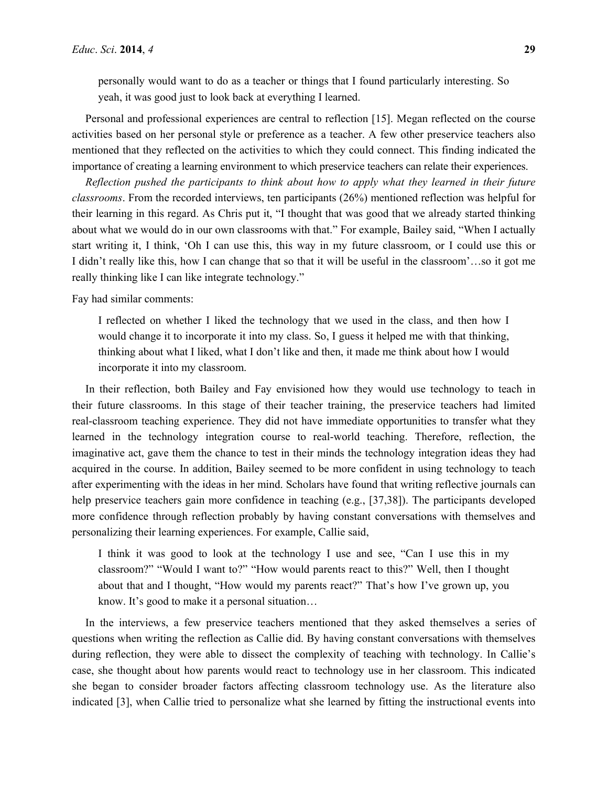personally would want to do as a teacher or things that I found particularly interesting. So yeah, it was good just to look back at everything I learned.

Personal and professional experiences are central to reflection [15]. Megan reflected on the course activities based on her personal style or preference as a teacher. A few other preservice teachers also mentioned that they reflected on the activities to which they could connect. This finding indicated the importance of creating a learning environment to which preservice teachers can relate their experiences.

*Reflection pushed the participants to think about how to apply what they learned in their future classrooms*. From the recorded interviews, ten participants (26%) mentioned reflection was helpful for their learning in this regard. As Chris put it, "I thought that was good that we already started thinking about what we would do in our own classrooms with that." For example, Bailey said, "When I actually start writing it, I think, 'Oh I can use this, this way in my future classroom, or I could use this or I didn't really like this, how I can change that so that it will be useful in the classroom'…so it got me really thinking like I can like integrate technology."

Fay had similar comments:

I reflected on whether I liked the technology that we used in the class, and then how I would change it to incorporate it into my class. So, I guess it helped me with that thinking, thinking about what I liked, what I don't like and then, it made me think about how I would incorporate it into my classroom.

In their reflection, both Bailey and Fay envisioned how they would use technology to teach in their future classrooms. In this stage of their teacher training, the preservice teachers had limited real-classroom teaching experience. They did not have immediate opportunities to transfer what they learned in the technology integration course to real-world teaching. Therefore, reflection, the imaginative act, gave them the chance to test in their minds the technology integration ideas they had acquired in the course. In addition, Bailey seemed to be more confident in using technology to teach after experimenting with the ideas in her mind. Scholars have found that writing reflective journals can help preservice teachers gain more confidence in teaching (e.g., [37,38]). The participants developed more confidence through reflection probably by having constant conversations with themselves and personalizing their learning experiences. For example, Callie said,

I think it was good to look at the technology I use and see, "Can I use this in my classroom?" "Would I want to?" "How would parents react to this?" Well, then I thought about that and I thought, "How would my parents react?" That's how I've grown up, you know. It's good to make it a personal situation…

In the interviews, a few preservice teachers mentioned that they asked themselves a series of questions when writing the reflection as Callie did. By having constant conversations with themselves during reflection, they were able to dissect the complexity of teaching with technology. In Callie's case, she thought about how parents would react to technology use in her classroom. This indicated she began to consider broader factors affecting classroom technology use. As the literature also indicated [3], when Callie tried to personalize what she learned by fitting the instructional events into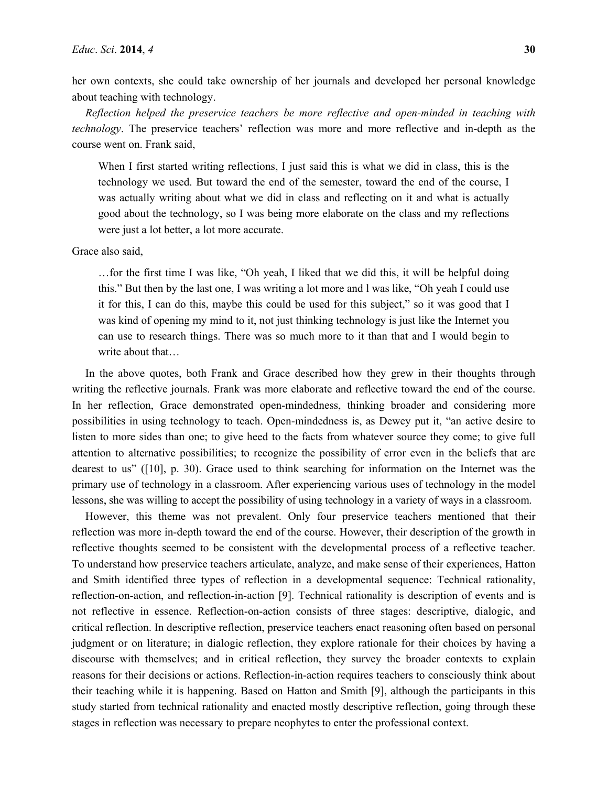her own contexts, she could take ownership of her journals and developed her personal knowledge about teaching with technology.

*Reflection helped the preservice teachers be more reflective and open-minded in teaching with technology*. The preservice teachers' reflection was more and more reflective and in-depth as the course went on. Frank said,

When I first started writing reflections, I just said this is what we did in class, this is the technology we used. But toward the end of the semester, toward the end of the course, I was actually writing about what we did in class and reflecting on it and what is actually good about the technology, so I was being more elaborate on the class and my reflections were just a lot better, a lot more accurate.

Grace also said,

…for the first time I was like, "Oh yeah, I liked that we did this, it will be helpful doing this." But then by the last one, I was writing a lot more and l was like, "Oh yeah I could use it for this, I can do this, maybe this could be used for this subject," so it was good that I was kind of opening my mind to it, not just thinking technology is just like the Internet you can use to research things. There was so much more to it than that and I would begin to write about that…

In the above quotes, both Frank and Grace described how they grew in their thoughts through writing the reflective journals. Frank was more elaborate and reflective toward the end of the course. In her reflection, Grace demonstrated open-mindedness, thinking broader and considering more possibilities in using technology to teach. Open-mindedness is, as Dewey put it, "an active desire to listen to more sides than one; to give heed to the facts from whatever source they come; to give full attention to alternative possibilities; to recognize the possibility of error even in the beliefs that are dearest to us" ([10], p. 30). Grace used to think searching for information on the Internet was the primary use of technology in a classroom. After experiencing various uses of technology in the model lessons, she was willing to accept the possibility of using technology in a variety of ways in a classroom.

However, this theme was not prevalent. Only four preservice teachers mentioned that their reflection was more in-depth toward the end of the course. However, their description of the growth in reflective thoughts seemed to be consistent with the developmental process of a reflective teacher. To understand how preservice teachers articulate, analyze, and make sense of their experiences, Hatton and Smith identified three types of reflection in a developmental sequence: Technical rationality, reflection-on-action, and reflection-in-action [9]. Technical rationality is description of events and is not reflective in essence. Reflection-on-action consists of three stages: descriptive, dialogic, and critical reflection. In descriptive reflection, preservice teachers enact reasoning often based on personal judgment or on literature; in dialogic reflection, they explore rationale for their choices by having a discourse with themselves; and in critical reflection, they survey the broader contexts to explain reasons for their decisions or actions. Reflection-in-action requires teachers to consciously think about their teaching while it is happening. Based on Hatton and Smith [9], although the participants in this study started from technical rationality and enacted mostly descriptive reflection, going through these stages in reflection was necessary to prepare neophytes to enter the professional context.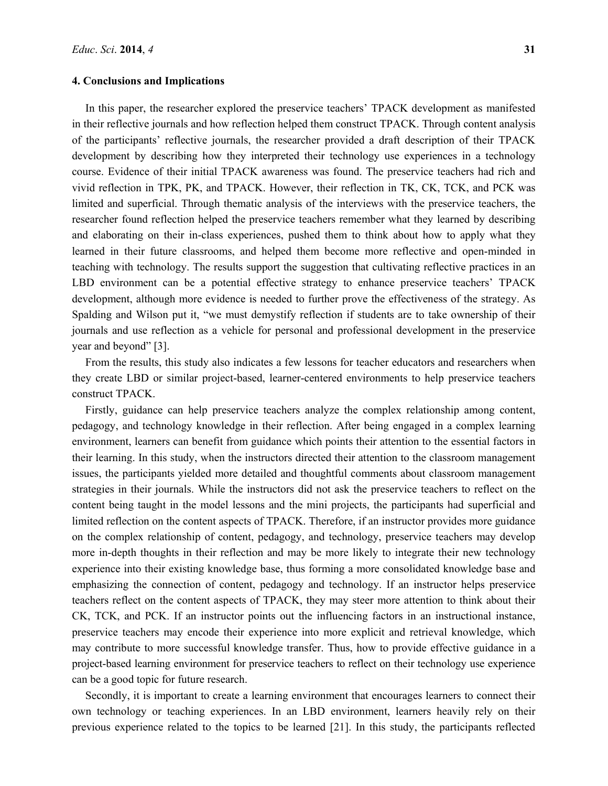#### **4. Conclusions and Implications**

In this paper, the researcher explored the preservice teachers' TPACK development as manifested in their reflective journals and how reflection helped them construct TPACK. Through content analysis of the participants' reflective journals, the researcher provided a draft description of their TPACK development by describing how they interpreted their technology use experiences in a technology course. Evidence of their initial TPACK awareness was found. The preservice teachers had rich and vivid reflection in TPK, PK, and TPACK. However, their reflection in TK, CK, TCK, and PCK was limited and superficial. Through thematic analysis of the interviews with the preservice teachers, the researcher found reflection helped the preservice teachers remember what they learned by describing and elaborating on their in-class experiences, pushed them to think about how to apply what they learned in their future classrooms, and helped them become more reflective and open-minded in teaching with technology. The results support the suggestion that cultivating reflective practices in an LBD environment can be a potential effective strategy to enhance preservice teachers' TPACK development, although more evidence is needed to further prove the effectiveness of the strategy. As Spalding and Wilson put it, "we must demystify reflection if students are to take ownership of their journals and use reflection as a vehicle for personal and professional development in the preservice year and beyond" [3].

From the results, this study also indicates a few lessons for teacher educators and researchers when they create LBD or similar project-based, learner-centered environments to help preservice teachers construct TPACK.

Firstly, guidance can help preservice teachers analyze the complex relationship among content, pedagogy, and technology knowledge in their reflection. After being engaged in a complex learning environment, learners can benefit from guidance which points their attention to the essential factors in their learning. In this study, when the instructors directed their attention to the classroom management issues, the participants yielded more detailed and thoughtful comments about classroom management strategies in their journals. While the instructors did not ask the preservice teachers to reflect on the content being taught in the model lessons and the mini projects, the participants had superficial and limited reflection on the content aspects of TPACK. Therefore, if an instructor provides more guidance on the complex relationship of content, pedagogy, and technology, preservice teachers may develop more in-depth thoughts in their reflection and may be more likely to integrate their new technology experience into their existing knowledge base, thus forming a more consolidated knowledge base and emphasizing the connection of content, pedagogy and technology. If an instructor helps preservice teachers reflect on the content aspects of TPACK, they may steer more attention to think about their CK, TCK, and PCK. If an instructor points out the influencing factors in an instructional instance, preservice teachers may encode their experience into more explicit and retrieval knowledge, which may contribute to more successful knowledge transfer. Thus, how to provide effective guidance in a project-based learning environment for preservice teachers to reflect on their technology use experience can be a good topic for future research.

Secondly, it is important to create a learning environment that encourages learners to connect their own technology or teaching experiences. In an LBD environment, learners heavily rely on their previous experience related to the topics to be learned [21]. In this study, the participants reflected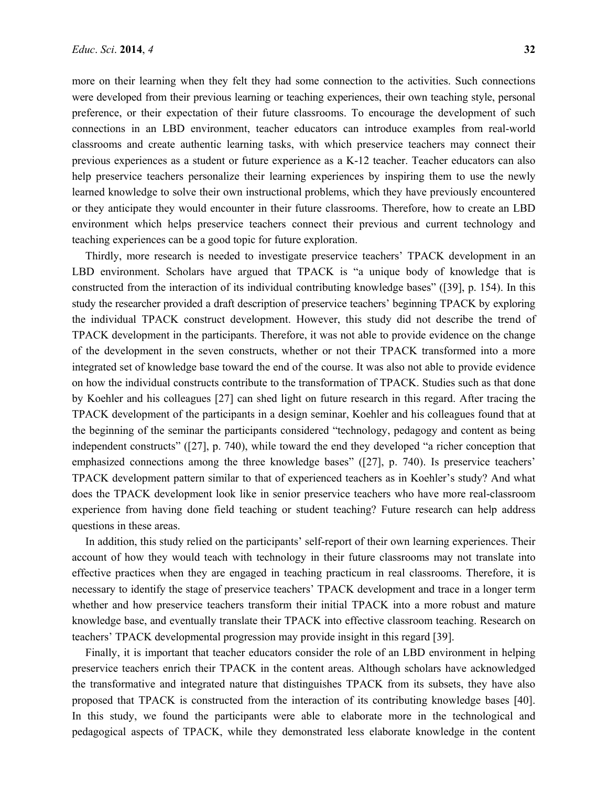more on their learning when they felt they had some connection to the activities. Such connections were developed from their previous learning or teaching experiences, their own teaching style, personal preference, or their expectation of their future classrooms. To encourage the development of such connections in an LBD environment, teacher educators can introduce examples from real-world classrooms and create authentic learning tasks, with which preservice teachers may connect their previous experiences as a student or future experience as a K-12 teacher. Teacher educators can also help preservice teachers personalize their learning experiences by inspiring them to use the newly learned knowledge to solve their own instructional problems, which they have previously encountered or they anticipate they would encounter in their future classrooms. Therefore, how to create an LBD environment which helps preservice teachers connect their previous and current technology and teaching experiences can be a good topic for future exploration.

Thirdly, more research is needed to investigate preservice teachers' TPACK development in an LBD environment. Scholars have argued that TPACK is "a unique body of knowledge that is constructed from the interaction of its individual contributing knowledge bases" ([39], p. 154). In this study the researcher provided a draft description of preservice teachers' beginning TPACK by exploring the individual TPACK construct development. However, this study did not describe the trend of TPACK development in the participants. Therefore, it was not able to provide evidence on the change of the development in the seven constructs, whether or not their TPACK transformed into a more integrated set of knowledge base toward the end of the course. It was also not able to provide evidence on how the individual constructs contribute to the transformation of TPACK. Studies such as that done by Koehler and his colleagues [27] can shed light on future research in this regard. After tracing the TPACK development of the participants in a design seminar, Koehler and his colleagues found that at the beginning of the seminar the participants considered "technology, pedagogy and content as being independent constructs" ([27], p. 740), while toward the end they developed "a richer conception that emphasized connections among the three knowledge bases" ([27], p. 740). Is preservice teachers' TPACK development pattern similar to that of experienced teachers as in Koehler's study? And what does the TPACK development look like in senior preservice teachers who have more real-classroom experience from having done field teaching or student teaching? Future research can help address questions in these areas.

In addition, this study relied on the participants' self-report of their own learning experiences. Their account of how they would teach with technology in their future classrooms may not translate into effective practices when they are engaged in teaching practicum in real classrooms. Therefore, it is necessary to identify the stage of preservice teachers' TPACK development and trace in a longer term whether and how preservice teachers transform their initial TPACK into a more robust and mature knowledge base, and eventually translate their TPACK into effective classroom teaching. Research on teachers' TPACK developmental progression may provide insight in this regard [39].

Finally, it is important that teacher educators consider the role of an LBD environment in helping preservice teachers enrich their TPACK in the content areas. Although scholars have acknowledged the transformative and integrated nature that distinguishes TPACK from its subsets, they have also proposed that TPACK is constructed from the interaction of its contributing knowledge bases [40]. In this study, we found the participants were able to elaborate more in the technological and pedagogical aspects of TPACK, while they demonstrated less elaborate knowledge in the content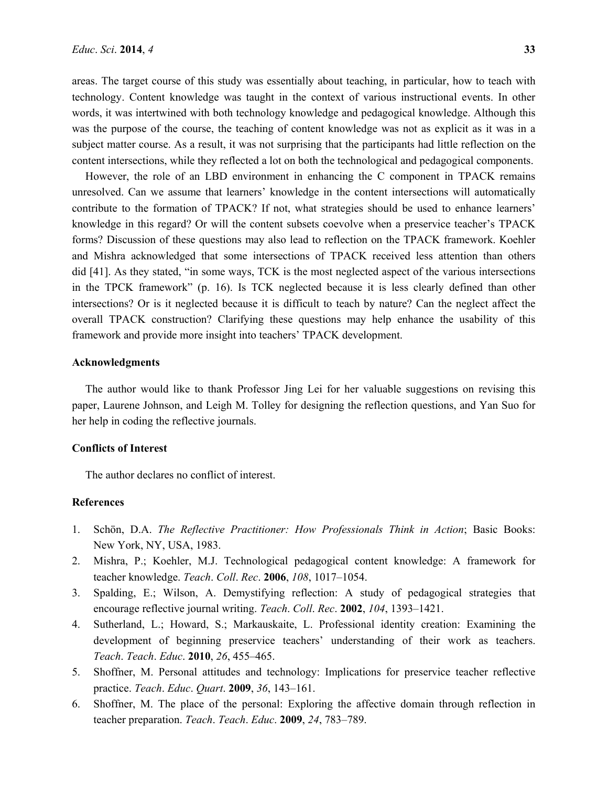areas. The target course of this study was essentially about teaching, in particular, how to teach with technology. Content knowledge was taught in the context of various instructional events. In other words, it was intertwined with both technology knowledge and pedagogical knowledge. Although this was the purpose of the course, the teaching of content knowledge was not as explicit as it was in a subject matter course. As a result, it was not surprising that the participants had little reflection on the content intersections, while they reflected a lot on both the technological and pedagogical components.

However, the role of an LBD environment in enhancing the C component in TPACK remains unresolved. Can we assume that learners' knowledge in the content intersections will automatically contribute to the formation of TPACK? If not, what strategies should be used to enhance learners' knowledge in this regard? Or will the content subsets coevolve when a preservice teacher's TPACK forms? Discussion of these questions may also lead to reflection on the TPACK framework. Koehler and Mishra acknowledged that some intersections of TPACK received less attention than others did [41]. As they stated, "in some ways, TCK is the most neglected aspect of the various intersections in the TPCK framework" (p. 16). Is TCK neglected because it is less clearly defined than other intersections? Or is it neglected because it is difficult to teach by nature? Can the neglect affect the overall TPACK construction? Clarifying these questions may help enhance the usability of this framework and provide more insight into teachers' TPACK development.

#### **Acknowledgments**

The author would like to thank Professor Jing Lei for her valuable suggestions on revising this paper, Laurene Johnson, and Leigh M. Tolley for designing the reflection questions, and Yan Suo for her help in coding the reflective journals.

#### **Conflicts of Interest**

The author declares no conflict of interest.

#### **References**

- 1. Schön, D.A. *The Reflective Practitioner: How Professionals Think in Action*; Basic Books: New York, NY, USA, 1983.
- 2. Mishra, P.; Koehler, M.J. Technological pedagogical content knowledge: A framework for teacher knowledge. *Teach*. *Coll*. *Rec*. **2006**, *108*, 1017–1054.
- 3. Spalding, E.; Wilson, A. Demystifying reflection: A study of pedagogical strategies that encourage reflective journal writing. *Teach*. *Coll*. *Rec*. **2002**, *104*, 1393–1421.
- 4. Sutherland, L.; Howard, S.; Markauskaite, L. Professional identity creation: Examining the development of beginning preservice teachers' understanding of their work as teachers. *Teach*. *Teach*. *Educ*. **2010**, *26*, 455–465.
- 5. Shoffner, M. Personal attitudes and technology: Implications for preservice teacher reflective practice. *Teach*. *Educ*. *Quart*. **2009**, *36*, 143–161.
- 6. Shoffner, M. The place of the personal: Exploring the affective domain through reflection in teacher preparation. *Teach*. *Teach*. *Educ*. **2009**, *24*, 783–789.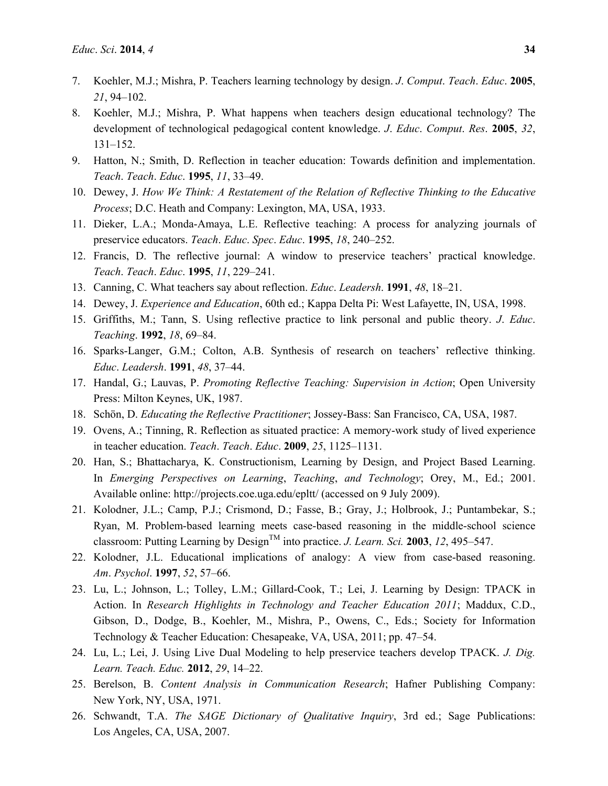- 7. Koehler, M.J.; Mishra, P. Teachers learning technology by design. *J*. *Comput*. *Teach*. *Educ*. **2005**, *21*, 94–102.
- 8. Koehler, M.J.; Mishra, P. What happens when teachers design educational technology? The development of technological pedagogical content knowledge. *J*. *Educ*. *Comput*. *Res*. **2005**, *32*, 131–152.
- 9. Hatton, N.; Smith, D. Reflection in teacher education: Towards definition and implementation. *Teach*. *Teach*. *Educ*. **1995**, *11*, 33–49.
- 10. Dewey, J. *How We Think: A Restatement of the Relation of Reflective Thinking to the Educative Process*; D.C. Heath and Company: Lexington, MA, USA, 1933.
- 11. Dieker, L.A.; Monda-Amaya, L.E. Reflective teaching: A process for analyzing journals of preservice educators. *Teach*. *Educ*. *Spec*. *Educ*. **1995**, *18*, 240–252.
- 12. Francis, D. The reflective journal: A window to preservice teachers' practical knowledge. *Teach*. *Teach*. *Educ*. **1995**, *11*, 229–241.
- 13. Canning, C. What teachers say about reflection. *Educ*. *Leadersh*. **1991**, *48*, 18–21.
- 14. Dewey, J. *Experience and Education*, 60th ed.; Kappa Delta Pi: West Lafayette, IN, USA, 1998.
- 15. Griffiths, M.; Tann, S. Using reflective practice to link personal and public theory. *J*. *Educ*. *Teaching*. **1992**, *18*, 69–84.
- 16. Sparks-Langer, G.M.; Colton, A.B. Synthesis of research on teachers' reflective thinking. *Educ*. *Leadersh*. **1991**, *48*, 37–44.
- 17. Handal, G.; Lauvas, P. *Promoting Reflective Teaching: Supervision in Action*; Open University Press: Milton Keynes, UK, 1987.
- 18. Schön, D. *Educating the Reflective Practitioner*; Jossey-Bass: San Francisco, CA, USA, 1987.
- 19. Ovens, A.; Tinning, R. Reflection as situated practice: A memory-work study of lived experience in teacher education. *Teach*. *Teach*. *Educ*. **2009**, *25*, 1125–1131.
- 20. Han, S.; Bhattacharya, K. Constructionism, Learning by Design, and Project Based Learning. In *Emerging Perspectives on Learning*, *Teaching*, *and Technology*; Orey, M., Ed.; 2001. Available online: http://projects.coe.uga.edu/epltt/ (accessed on 9 July 2009).
- 21. Kolodner, J.L.; Camp, P.J.; Crismond, D.; Fasse, B.; Gray, J.; Holbrook, J.; Puntambekar, S.; Ryan, M. Problem-based learning meets case-based reasoning in the middle-school science classroom: Putting Learning by Design<sup>TM</sup> into practice. *J. Learn. Sci.* **2003**, 12, 495–547.
- 22. Kolodner, J.L. Educational implications of analogy: A view from case-based reasoning. *Am*. *Psychol*. **1997**, *52*, 57–66.
- 23. Lu, L.; Johnson, L.; Tolley, L.M.; Gillard-Cook, T.; Lei, J. Learning by Design: TPACK in Action. In *Research Highlights in Technology and Teacher Education 2011*; Maddux, C.D., Gibson, D., Dodge, B., Koehler, M., Mishra, P., Owens, C., Eds.; Society for Information Technology & Teacher Education: Chesapeake, VA, USA, 2011; pp. 47–54.
- 24. Lu, L.; Lei, J. Using Live Dual Modeling to help preservice teachers develop TPACK. *J. Dig. Learn. Teach. Educ.* **2012**, *29*, 14–22.
- 25. Berelson, B. *Content Analysis in Communication Research*; Hafner Publishing Company: New York, NY, USA, 1971.
- 26. Schwandt, T.A. *The SAGE Dictionary of Qualitative Inquiry*, 3rd ed.; Sage Publications: Los Angeles, CA, USA, 2007.